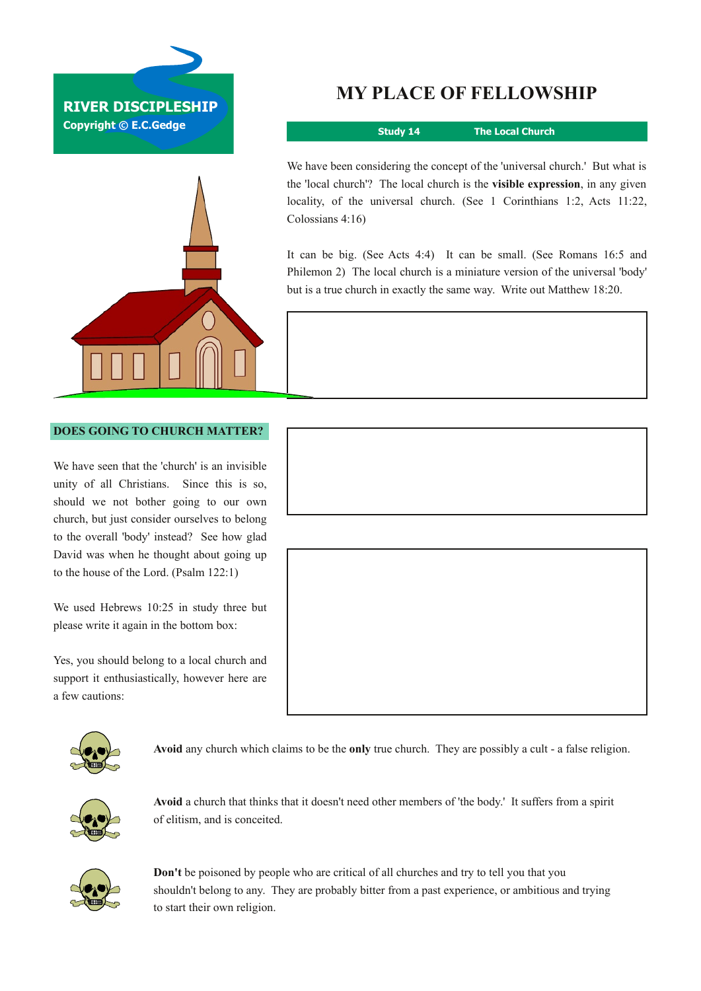



## **MY PLACE OF FELLOWSHIP**

**Study 14 The Local Church**

locality, of the universal church. (See 1 Corinthians 1:2, Acts 11:22, Colossians 4:16) We have been considering the concept of the 'universal church.' But what is the 'local church'? The local church is the **visible expression**, in any given

It can be big. (See Acts 4:4) It can be small. (See Romans 16:5 and Philemon 2) The local church is a miniature version of the universal 'body' but is a true church in exactly the same way. Write out Matthew 18:20.

## **DOES GOING TO CHURCH MATTER?**

We have seen that the 'church' is an invisible unity of all Christians. Since this is so, should we not bother going to our own church, but just consider ourselves to belong to the overall 'body' instead? See how glad David was when he thought about going up to the house of the Lord. (Psalm 122:1)

We used Hebrews 10:25 in study three but please write it again in the bottom box:

Yes, you should belong to a local church and support it enthusiastically, however here are a few cautions:





**Avoid** any church which claims to be the **only** true church. They are possibly a cult a false religion.



**Avoid** a church that thinks that it doesn't need other members of 'the body.' It suffers from a spirit of elitism, and is conceited.



**Don't** be poisoned by people who are critical of all churches and try to tell you that you shouldn't belong to any. They are probably bitter from a past experience, or ambitious and trying to start their own religion.